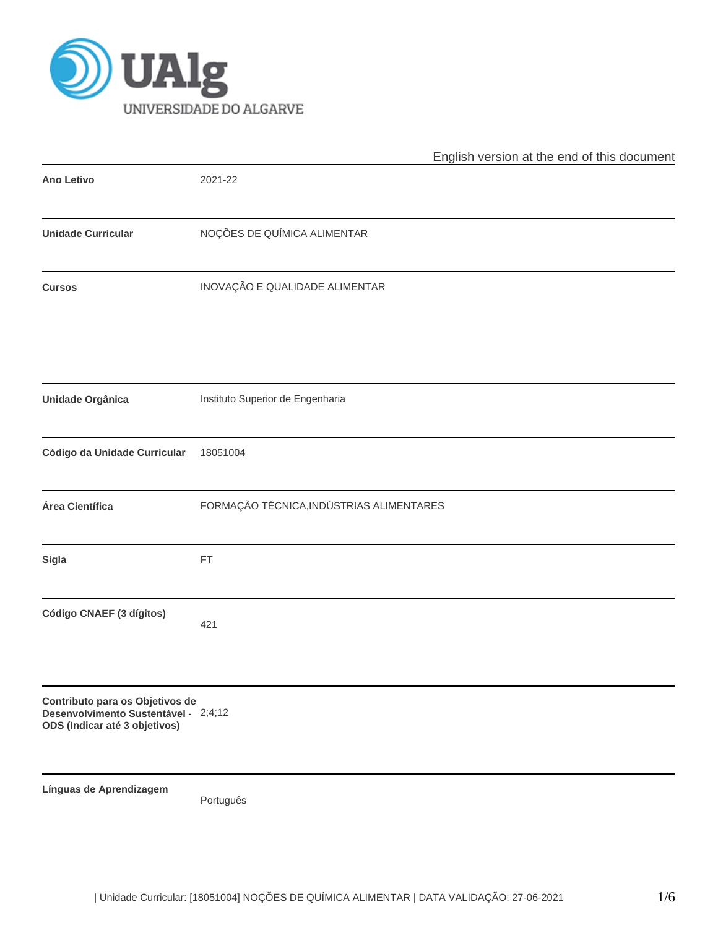

|                                                                                                          | English version at the end of this document |
|----------------------------------------------------------------------------------------------------------|---------------------------------------------|
| <b>Ano Letivo</b>                                                                                        | 2021-22                                     |
| <b>Unidade Curricular</b>                                                                                | NOÇÕES DE QUÍMICA ALIMENTAR                 |
| <b>Cursos</b>                                                                                            | INOVAÇÃO E QUALIDADE ALIMENTAR              |
| Unidade Orgânica                                                                                         | Instituto Superior de Engenharia            |
| Código da Unidade Curricular                                                                             | 18051004                                    |
| Área Científica                                                                                          | FORMAÇÃO TÉCNICA, INDÚSTRIAS ALIMENTARES    |
| Sigla                                                                                                    | FT                                          |
| Código CNAEF (3 dígitos)                                                                                 | 421                                         |
| Contributo para os Objetivos de<br>Desenvolvimento Sustentável - 2;4;12<br>ODS (Indicar até 3 objetivos) |                                             |
| Línguas de Aprendizagem                                                                                  | Português                                   |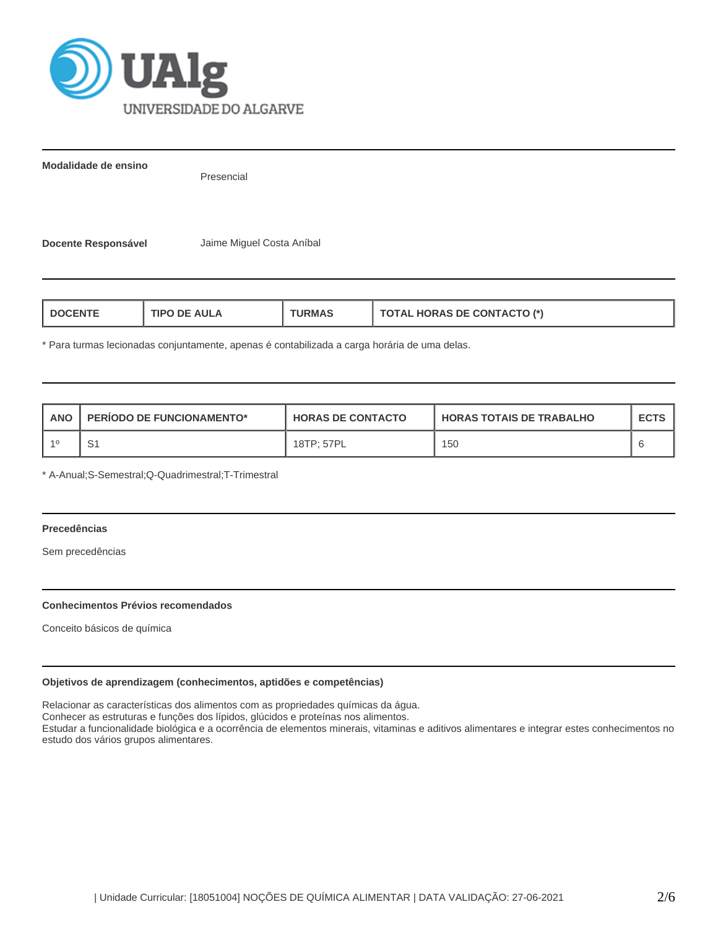

**Modalidade de ensino**

Presencial

**Docente Responsável** Jaime Miguel Costa Aníbal

| <b>HORAS DE CONTACTO (*)</b><br>AUI A<br>L DOCENT<br>חסו<br>"RMAS"<br>$\blacksquare$ |
|--------------------------------------------------------------------------------------|
|--------------------------------------------------------------------------------------|

\* Para turmas lecionadas conjuntamente, apenas é contabilizada a carga horária de uma delas.

| ANO | <b>PERIODO DE FUNCIONAMENTO*</b> | <b>HORAS DE CONTACTO</b> | I HORAS TOTAIS DE TRABALHO | <b>ECTS</b> |
|-----|----------------------------------|--------------------------|----------------------------|-------------|
|     |                                  | 18TP: 57PL               | 150                        |             |

\* A-Anual;S-Semestral;Q-Quadrimestral;T-Trimestral

# **Precedências**

Sem precedências

### **Conhecimentos Prévios recomendados**

Conceito básicos de química

### **Objetivos de aprendizagem (conhecimentos, aptidões e competências)**

Relacionar as características dos alimentos com as propriedades químicas da água.

Conhecer as estruturas e funções dos lípidos, glúcidos e proteínas nos alimentos.

Estudar a funcionalidade biológica e a ocorrência de elementos minerais, vitaminas e aditivos alimentares e integrar estes conhecimentos no estudo dos vários grupos alimentares.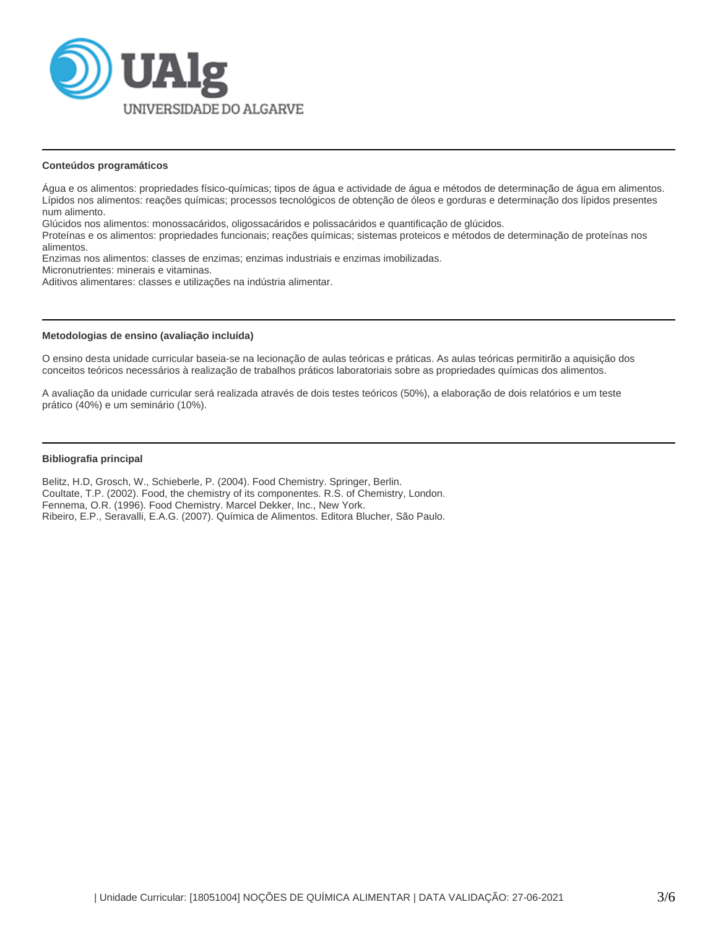

### **Conteúdos programáticos**

Água e os alimentos: propriedades físico-químicas; tipos de água e actividade de água e métodos de determinação de água em alimentos. Lípidos nos alimentos: reações químicas; processos tecnológicos de obtenção de óleos e gorduras e determinação dos lípidos presentes num alimento.

Glúcidos nos alimentos: monossacáridos, oligossacáridos e polissacáridos e quantificação de glúcidos.

Proteínas e os alimentos: propriedades funcionais; reações químicas; sistemas proteicos e métodos de determinação de proteínas nos alimentos.

Enzimas nos alimentos: classes de enzimas; enzimas industriais e enzimas imobilizadas.

Micronutrientes: minerais e vitaminas.

Aditivos alimentares: classes e utilizações na indústria alimentar.

#### **Metodologias de ensino (avaliação incluída)**

O ensino desta unidade curricular baseia-se na lecionação de aulas teóricas e práticas. As aulas teóricas permitirão a aquisição dos conceitos teóricos necessários à realização de trabalhos práticos laboratoriais sobre as propriedades químicas dos alimentos.

A avaliação da unidade curricular será realizada através de dois testes teóricos (50%), a elaboração de dois relatórios e um teste prático (40%) e um seminário (10%).

### **Bibliografia principal**

Belitz, H.D, Grosch, W., Schieberle, P. (2004). Food Chemistry. Springer, Berlin. Coultate, T.P. (2002). Food, the chemistry of its componentes. R.S. of Chemistry, London. Fennema, O.R. (1996). Food Chemistry. Marcel Dekker, Inc., New York. Ribeiro, E.P., Seravalli, E.A.G. (2007). Química de Alimentos. Editora Blucher, São Paulo.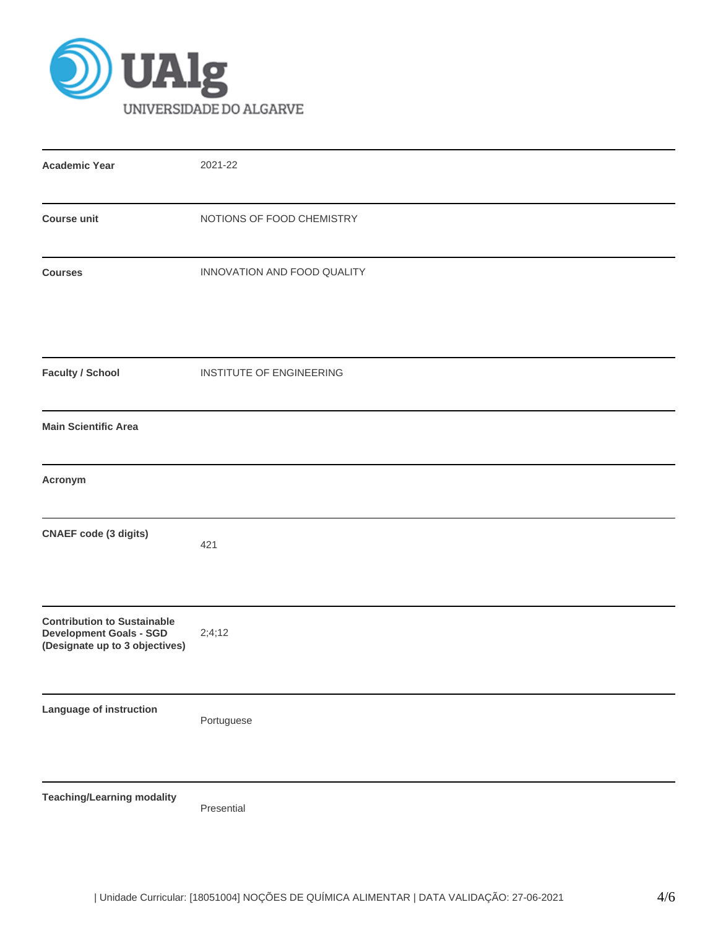

| <b>Academic Year</b>                                                                                   | 2021-22                     |
|--------------------------------------------------------------------------------------------------------|-----------------------------|
| <b>Course unit</b>                                                                                     | NOTIONS OF FOOD CHEMISTRY   |
| <b>Courses</b>                                                                                         | INNOVATION AND FOOD QUALITY |
| <b>Faculty / School</b>                                                                                | INSTITUTE OF ENGINEERING    |
| <b>Main Scientific Area</b>                                                                            |                             |
| Acronym                                                                                                |                             |
| <b>CNAEF</b> code (3 digits)                                                                           | 421                         |
| <b>Contribution to Sustainable</b><br><b>Development Goals - SGD</b><br>(Designate up to 3 objectives) | 2;4;12                      |
| Language of instruction                                                                                | Portuguese                  |
| <b>Teaching/Learning modality</b>                                                                      | Presential                  |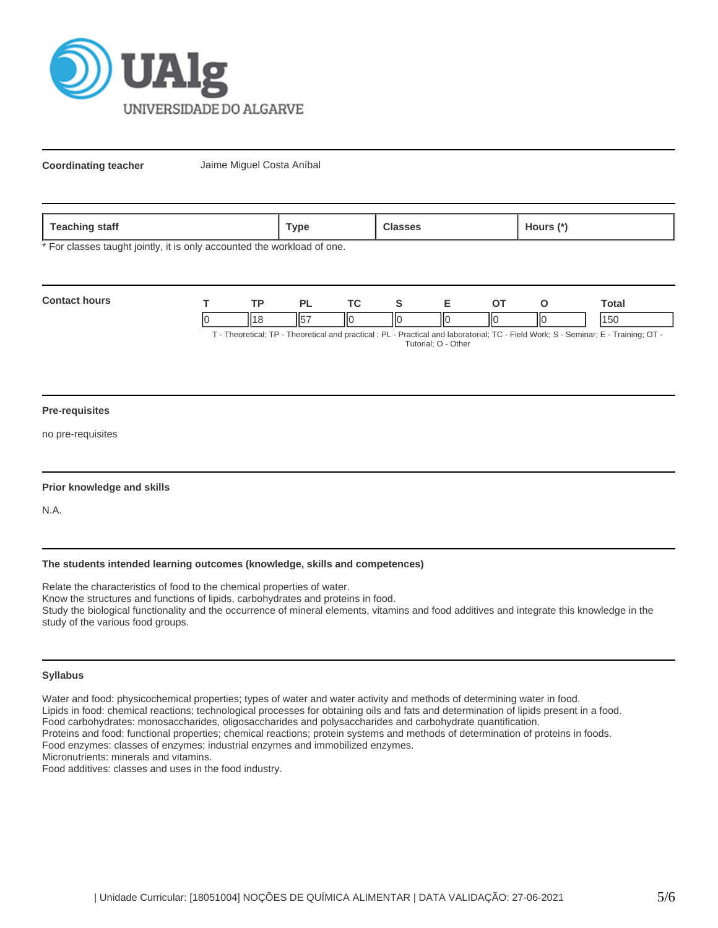

**Coordinating teacher** Jaime Miguel Costa Aníbal

| staff<br><b>Teaching</b> | Type |  | lours |
|--------------------------|------|--|-------|
|--------------------------|------|--|-------|

\* For classes taught jointly, it is only accounted the workload of one.

| <b>Contact hours</b> | <b>TD</b> |    |   |    |     |    | `otal                                                                                                                                                                                                                           |
|----------------------|-----------|----|---|----|-----|----|---------------------------------------------------------------------------------------------------------------------------------------------------------------------------------------------------------------------------------|
|                      |           | IЮ | Ш | IЮ | IІC | ΙЮ | 150                                                                                                                                                                                                                             |
|                      |           |    |   |    |     |    | $T$ . The contrast $TD$ . The contrast contrast of $D$ is $D$ and $D$ and the contrast $T$ $D$ . The HMA she $D$ $D$ $D$ and $D$ $T$ is $D$ $T$ is $D$ $T$ is $D$ $T$ is $D$ $T$ is $D$ $T$ is $D$ $T$ is $D$ $T$ is $D$ is $D$ |

T - Theoretical; TP - Theoretical and practical ; PL - Practical and laboratorial; TC - Field Work; S - Seminar; E - Training; OT - Tutorial; O - Other

### **Pre-requisites**

no pre-requisites

### **Prior knowledge and skills**

N.A.

### **The students intended learning outcomes (knowledge, skills and competences)**

Relate the characteristics of food to the chemical properties of water. Know the structures and functions of lipids, carbohydrates and proteins in food. Study the biological functionality and the occurrence of mineral elements, vitamins and food additives and integrate this knowledge in the study of the various food groups.

## **Syllabus**

Water and food: physicochemical properties; types of water and water activity and methods of determining water in food. Lipids in food: chemical reactions; technological processes for obtaining oils and fats and determination of lipids present in a food. Food carbohydrates: monosaccharides, oligosaccharides and polysaccharides and carbohydrate quantification. Proteins and food: functional properties; chemical reactions; protein systems and methods of determination of proteins in foods. Food enzymes: classes of enzymes; industrial enzymes and immobilized enzymes. Micronutrients: minerals and vitamins.

Food additives: classes and uses in the food industry.